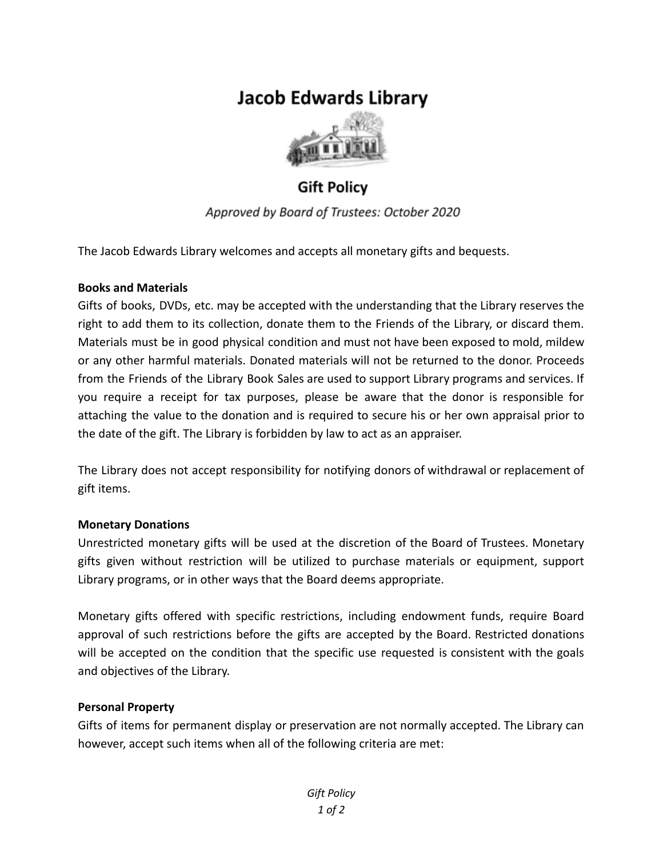# **Jacob Edwards Library**



# **Gift Policy**

Approved by Board of Trustees: October 2020

The Jacob Edwards Library welcomes and accepts all monetary gifts and bequests.

#### **Books and Materials**

Gifts of books, DVDs, etc. may be accepted with the understanding that the Library reserves the right to add them to its collection, donate them to the Friends of the Library, or discard them. Materials must be in good physical condition and must not have been exposed to mold, mildew or any other harmful materials. Donated materials will not be returned to the donor. Proceeds from the Friends of the Library Book Sales are used to support Library programs and services. If you require a receipt for tax purposes, please be aware that the donor is responsible for attaching the value to the donation and is required to secure his or her own appraisal prior to the date of the gift. The Library is forbidden by law to act as an appraiser.

The Library does not accept responsibility for notifying donors of withdrawal or replacement of gift items.

## **Monetary Donations**

Unrestricted monetary gifts will be used at the discretion of the Board of Trustees. Monetary gifts given without restriction will be utilized to purchase materials or equipment, support Library programs, or in other ways that the Board deems appropriate.

Monetary gifts offered with specific restrictions, including endowment funds, require Board approval of such restrictions before the gifts are accepted by the Board. Restricted donations will be accepted on the condition that the specific use requested is consistent with the goals and objectives of the Library.

## **Personal Property**

Gifts of items for permanent display or preservation are not normally accepted. The Library can however, accept such items when all of the following criteria are met: